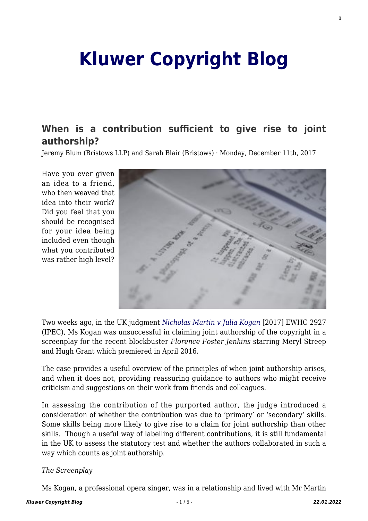# **[Kluwer Copyright Blog](http://copyrightblog.kluweriplaw.com/)**

# **[When is a contribution sufficient to give rise to joint](http://copyrightblog.kluweriplaw.com/2017/12/11/contribution-sufficient-give-rise-joint-authorship/) [authorship?](http://copyrightblog.kluweriplaw.com/2017/12/11/contribution-sufficient-give-rise-joint-authorship/)**

Jeremy Blum (Bristows LLP) and Sarah Blair (Bristows) · Monday, December 11th, 2017

Have you ever given an idea to a friend, who then weaved that idea into their work? Did you feel that you should be recognised for your idea being included even though what you contributed was rather high level?



Two weeks ago, in the UK judgment *[Nicholas Martin v Julia Kogan](http://www.bailii.org/ew/cases/EWHC/IPEC/2017/2927.html)* [2017] EWHC 2927 (IPEC), Ms Kogan was unsuccessful in claiming joint authorship of the copyright in a screenplay for the recent blockbuster *Florence Foster Jenkins* starring Meryl Streep and Hugh Grant which premiered in April 2016.

The case provides a useful overview of the principles of when joint authorship arises, and when it does not, providing reassuring guidance to authors who might receive criticism and suggestions on their work from friends and colleagues.

In assessing the contribution of the purported author, the judge introduced a consideration of whether the contribution was due to 'primary' or 'secondary' skills. Some skills being more likely to give rise to a claim for joint authorship than other skills. Though a useful way of labelling different contributions, it is still fundamental in the UK to assess the statutory test and whether the authors collaborated in such a way which counts as joint authorship.

## *The Screenplay*

Ms Kogan, a professional opera singer, was in a relationship and lived with Mr Martin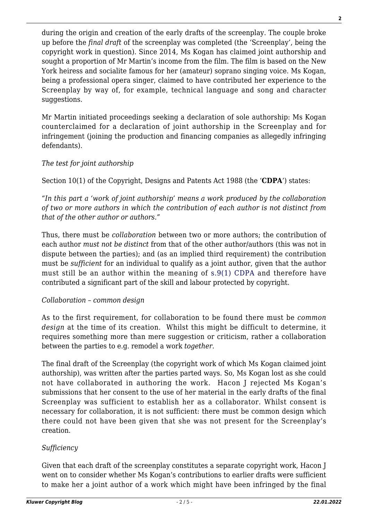during the origin and creation of the early drafts of the screenplay. The couple broke up before the *final draft* of the screenplay was completed (the 'Screenplay', being the copyright work in question). Since 2014, Ms Kogan has claimed joint authorship and sought a proportion of Mr Martin's income from the film. The film is based on the New York heiress and socialite famous for her (amateur) soprano singing voice. Ms Kogan, being a professional opera singer, claimed to have contributed her experience to the Screenplay by way of, for example, technical language and song and character suggestions.

Mr Martin initiated proceedings seeking a declaration of sole authorship: Ms Kogan counterclaimed for a declaration of joint authorship in the Screenplay and for infringement (joining the production and financing companies as allegedly infringing defendants).

# *The test for joint authorship*

Section 10(1) of the Copyright, Designs and Patents Act 1988 (the '**CDPA**') states:

*"In this part a 'work of joint authorship' means a work produced by the collaboration of two or more authors in which the contribution of each author is not distinct from that of the other author or authors."* 

Thus, there must be *collaboration* between two or more authors; the contribution of each author *must not be distinct* from that of the other author/authors (this was not in dispute between the parties); and (as an implied third requirement) the contribution must be *sufficient* for an individual to qualify as a joint author, given that the author must still be an author within the meaning of [s.9\(1\) CDPA](https://www.legislation.gov.uk/ukpga/1988/48/section/9) and therefore have contributed a significant part of the skill and labour protected by copyright.

## *Collaboration – common design*

As to the first requirement, for collaboration to be found there must be *common design* at the time of its creation. Whilst this might be difficult to determine, it requires something more than mere suggestion or criticism, rather a collaboration between the parties to e.g. remodel a work *together*.

The final draft of the Screenplay (the copyright work of which Ms Kogan claimed joint authorship), was written after the parties parted ways. So, Ms Kogan lost as she could not have collaborated in authoring the work. Hacon J rejected Ms Kogan's submissions that her consent to the use of her material in the early drafts of the final Screenplay was sufficient to establish her as a collaborator. Whilst consent is necessary for collaboration, it is not sufficient: there must be common design which there could not have been given that she was not present for the Screenplay's creation.

# *Sufficiency*

Given that each draft of the screenplay constitutes a separate copyright work, Hacon J went on to consider whether Ms Kogan's contributions to earlier drafts were sufficient to make her a joint author of a work which might have been infringed by the final **2**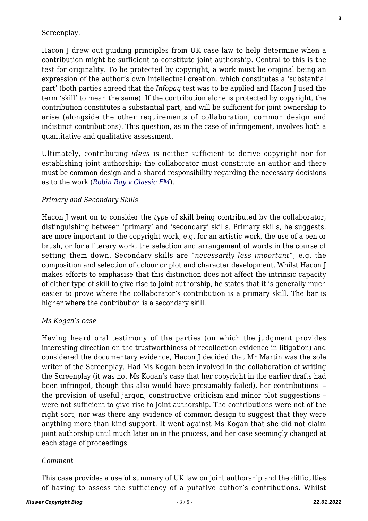#### Screenplay.

Hacon J drew out guiding principles from UK case law to help determine when a contribution might be sufficient to constitute joint authorship. Central to this is the test for originality. To be protected by copyright, a work must be original being an expression of the author's own intellectual creation, which constitutes a 'substantial part' (both parties agreed that the *Infopaq* test was to be applied and Hacon J used the term 'skill' to mean the same). If the contribution alone is protected by copyright, the contribution constitutes a substantial part, and will be sufficient for joint ownership to arise (alongside the other requirements of collaboration, common design and indistinct contributions). This question, as in the case of infringement, involves both a quantitative and qualitative assessment.

Ultimately, contributing *ideas* is neither sufficient to derive copyright nor for establishing joint authorship: the collaborator must constitute an author and there must be common design and a shared responsibility regarding the necessary decisions as to the work (*[Robin Ray v Classic FM](http://www.bailii.org/cgi-bin/format.cgi?doc=/ew/cases/EWHC/Patents/1998/333.html&query=(Tate)+AND+(v)+AND+(Thomas)+AND+(%5b1921%5d)+AND+(1)+AND+(Ch)+AND+(503))*).

#### *Primary and Secondary Skills*

Hacon J went on to consider the *type* of skill being contributed by the collaborator, distinguishing between 'primary' and 'secondary' skills. Primary skills, he suggests, are more important to the copyright work, e.g. for an artistic work, the use of a pen or brush, or for a literary work, the selection and arrangement of words in the course of setting them down. Secondary skills are "*necessarily less important*", e.g. the composition and selection of colour or plot and character development. Whilst Hacon J makes efforts to emphasise that this distinction does not affect the intrinsic capacity of either type of skill to give rise to joint authorship, he states that it is generally much easier to prove where the collaborator's contribution is a primary skill. The bar is higher where the contribution is a secondary skill.

#### *Ms Kogan's case*

Having heard oral testimony of the parties (on which the judgment provides interesting direction on the trustworthiness of recollection evidence in litigation) and considered the documentary evidence, Hacon J decided that Mr Martin was the sole writer of the Screenplay. Had Ms Kogan been involved in the collaboration of writing the Screenplay (it was not Ms Kogan's case that her copyright in the earlier drafts had been infringed, though this also would have presumably failed), her contributions – the provision of useful jargon, constructive criticism and minor plot suggestions – were not sufficient to give rise to joint authorship. The contributions were not of the right sort, nor was there any evidence of common design to suggest that they were anything more than kind support. It went against Ms Kogan that she did not claim joint authorship until much later on in the process, and her case seemingly changed at each stage of proceedings.

#### *Comment*

This case provides a useful summary of UK law on joint authorship and the difficulties of having to assess the sufficiency of a putative author's contributions. Whilst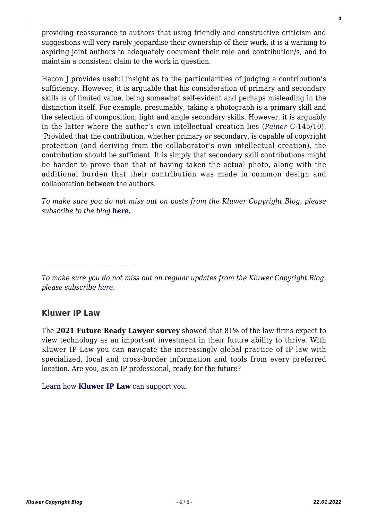providing reassurance to authors that using friendly and constructive criticism and suggestions will very rarely jeopardise their ownership of their work, it is a warning to aspiring joint authors to adequately document their role and contribution/s, and to maintain a consistent claim to the work in question.

Hacon J provides useful insight as to the particularities of judging a contribution's sufficiency. However, it is arguable that his consideration of primary and secondary skills is of limited value, being somewhat self-evident and perhaps misleading in the distinction itself. For example, presumably, taking a photograph is a primary skill and the selection of composition, light and angle secondary skills. However, it is arguably in the latter where the author's own intellectual creation lies (*[Painer](http://curia.europa.eu/juris/document/document.jsf;jsessionid=9ea7d0f130d54069d09aaf0e4ae7871aed7c0f3092cc.e34KaxiLc3eQc40LaxqMbN4PaNiSe0?text=&docid=115785&pageIndex=0&doclang=EN&mode=lst&dir=&occ=first&part=1&cid=278507)* C-145/10). Provided that the contribution, whether primary *or* secondary, is capable of copyright protection (and deriving from the collaborator's own intellectual creation), the contribution should be sufficient. It is simply that secondary skill contributions might be harder to prove than that of having taken the actual photo, along with the additional burden that their contribution was made in common design and collaboration between the authors.

*To make sure you do not miss out on posts from the Kluwer Copyright Blog, please subscribe to the blog [here.](https://na01.safelinks.protection.outlook.com/?url=http%3A%2F%2Fcopyrightblog.kluweriplaw.com%2Fnewsletter%2F%3Femail%3D%26mailing_list_widget_submit%3DSubscribe&data=02%7C01%7CChristine.Robben%40wolterskluwer.com%7Cd6df2405a3144c66994908d58d7f0dff%7C8ac76c91e7f141ffa89c3553b2da2c17%7C1%7C0%7C636570499210524947&sdata=nBa1YK%2BNnrh2F4ocwQLVubJVTnQ3dAe3jwNzdpUthJI%3D&reserved=0)*

# **Kluwer IP Law**

The **2021 Future Ready Lawyer survey** showed that 81% of the law firms expect to view technology as an important investment in their future ability to thrive. With Kluwer IP Law you can navigate the increasingly global practice of IP law with specialized, local and cross-border information and tools from every preferred location. Are you, as an IP professional, ready for the future?

[Learn how](https://www.wolterskluwer.com/en/solutions/kluweriplaw?utm_source=copyrightnblog&utm_medium=articleCTA&utm_campaign=article-banner) **[Kluwer IP Law](https://www.wolterskluwer.com/en/solutions/kluweriplaw?utm_source=copyrightnblog&utm_medium=articleCTA&utm_campaign=article-banner)** [can support you.](https://www.wolterskluwer.com/en/solutions/kluweriplaw?utm_source=copyrightnblog&utm_medium=articleCTA&utm_campaign=article-banner)

*To make sure you do not miss out on regular updates from the Kluwer Copyright Blog, please subscribe [here.](http://copyrightblog.kluweriplaw.com/newsletter)*